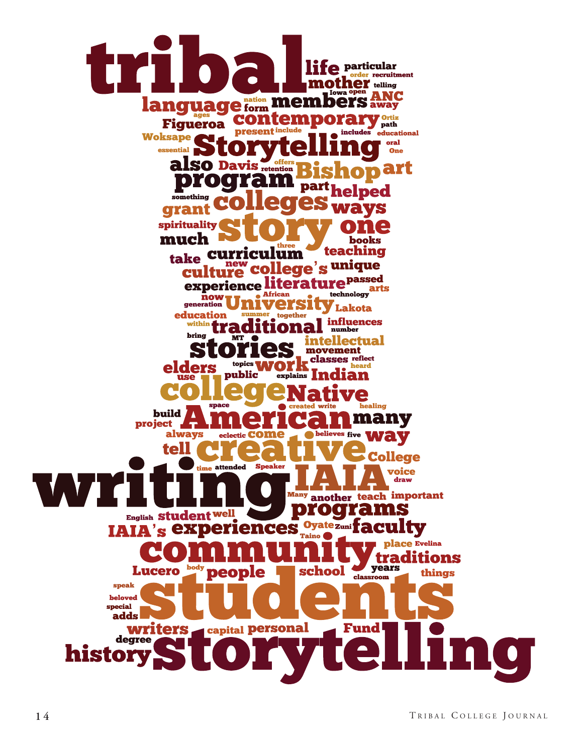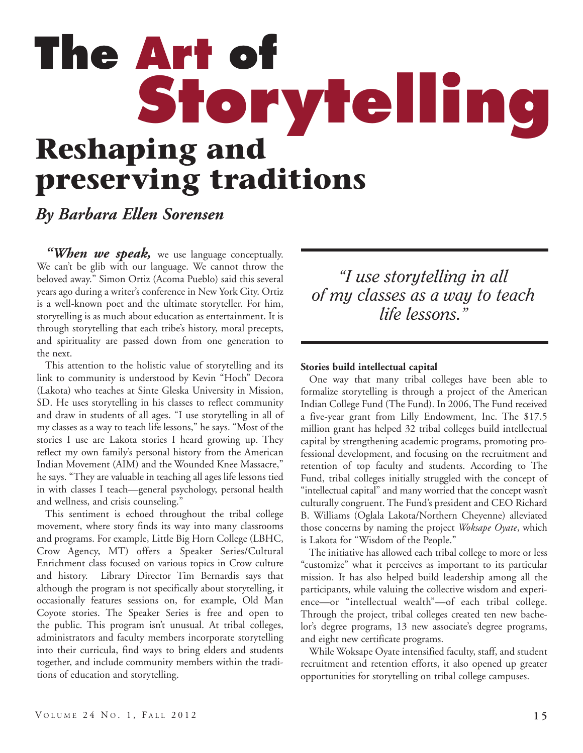# **Reshaping and preserving traditions The Art of Storytelling**

### *By Barbara Ellen Sorensen*

"When we speak, we use language conceptually. We can't be glib with our language. We cannot throw the beloved away." Simon Ortiz (Acoma Pueblo) said this several years ago during a writer's conference in New York City. Ortiz is a well-known poet and the ultimate storyteller. For him, storytelling is as much about education as entertainment. It is through storytelling that each tribe's history, moral precepts, and spirituality are passed down from one generation to the next.

This attention to the holistic value of storytelling and its link to community is understood by Kevin "Hoch" Decora (Lakota) who teaches at Sinte Gleska University in Mission, SD. He uses storytelling in his classes to reflect community and draw in students of all ages. "I use storytelling in all of my classes as a way to teach life lessons," he says. "Most of the stories I use are Lakota stories I heard growing up. They reflect my own family's personal history from the American Indian Movement (AIM) and the Wounded Knee Massacre," he says. "They are valuable in teaching all ages life lessons tied in with classes I teach—general psychology, personal health and wellness, and crisis counseling."

This sentiment is echoed throughout the tribal college movement, where story finds its way into many classrooms and programs. For example, Little Big Horn College (LBHC, Crow Agency, MT) offers a Speaker Series/Cultural Enrichment class focused on various topics in Crow culture and history. Library Director Tim Bernardis says that although the program is not specifically about storytelling, it occasionally features sessions on, for example, Old Man Coyote stories. The Speaker Series is free and open to the public. This program isn't unusual. At tribal colleges, administrators and faculty members incorporate storytelling into their curricula, find ways to bring elders and students together, and include community members within the traditions of education and storytelling.

*"I use storytelling in all of my classes as a way to teach life lessons."*

#### **Stories build intellectual capital**

One way that many tribal colleges have been able to formalize storytelling is through a project of the American Indian College Fund (The Fund). In 2006, The Fund received a five-year grant from Lilly Endowment, Inc. The \$17.5 million grant has helped 32 tribal colleges build intellectual capital by strengthening academic programs, promoting professional development, and focusing on the recruitment and retention of top faculty and students. According to The Fund, tribal colleges initially struggled with the concept of "intellectual capital" and many worried that the concept wasn't culturally congruent. The Fund's president and CEO Richard B. Williams (Oglala Lakota/Northern Cheyenne) alleviated those concerns by naming the project *Woksape Oyate*, which is Lakota for "Wisdom of the People."

The initiative has allowed each tribal college to more or less "customize" what it perceives as important to its particular mission. It has also helped build leadership among all the participants, while valuing the collective wisdom and experience—or "intellectual wealth"—of each tribal college. Through the project, tribal colleges created ten new bachelor's degree programs, 13 new associate's degree programs, and eight new certificate programs.

While Woksape Oyate intensified faculty, staff, and student recruitment and retention efforts, it also opened up greater opportunities for storytelling on tribal college campuses.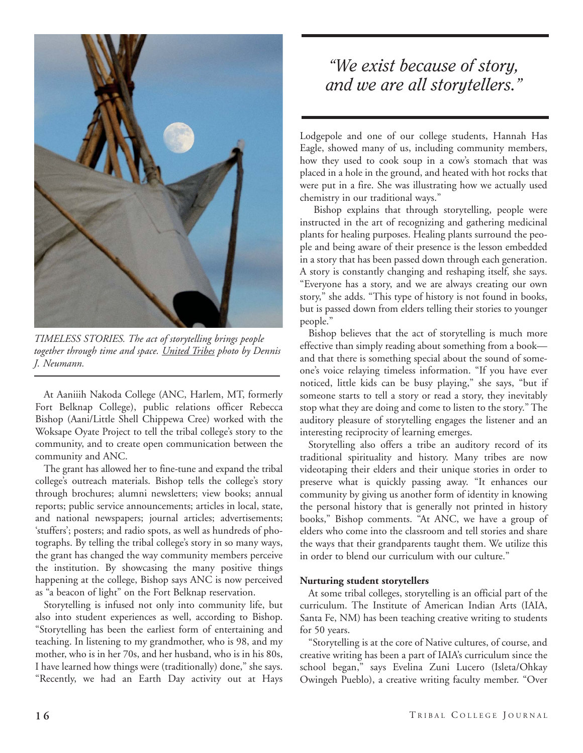

*TIMELESS STORIES. The act of storytelling brings people together through time and space. United Tribes photo by Dennis J. Neumann.*

At Aaniiih Nakoda College (ANC, Harlem, MT, formerly Fort Belknap College), public relations officer Rebecca Bishop (Aani/Little Shell Chippewa Cree) worked with the Woksape Oyate Project to tell the tribal college's story to the community, and to create open communication between the community and ANC.

The grant has allowed her to fine-tune and expand the tribal college's outreach materials. Bishop tells the college's story through brochures; alumni newsletters; view books; annual reports; public service announcements; articles in local, state, and national newspapers; journal articles; advertisements; 'stuffers'; posters; and radio spots, as well as hundreds of photographs. By telling the tribal college's story in so many ways, the grant has changed the way community members perceive the institution. By showcasing the many positive things happening at the college, Bishop says ANC is now perceived as "a beacon of light" on the Fort Belknap reservation.

Storytelling is infused not only into community life, but also into student experiences as well, according to Bishop. "Storytelling has been the earliest form of entertaining and teaching. In listening to my grandmother, who is 98, and my mother, who is in her 70s, and her husband, who is in his 80s, I have learned how things were (traditionally) done," she says. "Recently, we had an Earth Day activity out at Hays

## *"We exist because of story, and we are all storytellers."*

Lodgepole and one of our college students, Hannah Has Eagle, showed many of us, including community members, how they used to cook soup in a cow's stomach that was placed in a hole in the ground, and heated with hot rocks that were put in a fire. She was illustrating how we actually used chemistry in our traditional ways."

Bishop explains that through storytelling, people were instructed in the art of recognizing and gathering medicinal plants for healing purposes. Healing plants surround the people and being aware of their presence is the lesson embedded in a story that has been passed down through each generation. A story is constantly changing and reshaping itself, she says. "Everyone has a story, and we are always creating our own story," she adds. "This type of history is not found in books, but is passed down from elders telling their stories to younger people."

Bishop believes that the act of storytelling is much more effective than simply reading about something from a book and that there is something special about the sound of someone's voice relaying timeless information. "If you have ever noticed, little kids can be busy playing," she says, "but if someone starts to tell a story or read a story, they inevitably stop what they are doing and come to listen to the story." The auditory pleasure of storytelling engages the listener and an interesting reciprocity of learning emerges.

Storytelling also offers a tribe an auditory record of its traditional spirituality and history. Many tribes are now videotaping their elders and their unique stories in order to preserve what is quickly passing away. "It enhances our community by giving us another form of identity in knowing the personal history that is generally not printed in history books," Bishop comments. "At ANC, we have a group of elders who come into the classroom and tell stories and share the ways that their grandparents taught them. We utilize this in order to blend our curriculum with our culture."

#### **Nurturing student storytellers**

At some tribal colleges, storytelling is an official part of the curriculum. The Institute of American Indian Arts (IAIA, Santa Fe, NM) has been teaching creative writing to students for 50 years.

"Storytelling is at the core of Native cultures, of course, and creative writing has been a part of IAIA's curriculum since the school began," says Evelina Zuni Lucero (Isleta/Ohkay Owingeh Pueblo), a creative writing faculty member. "Over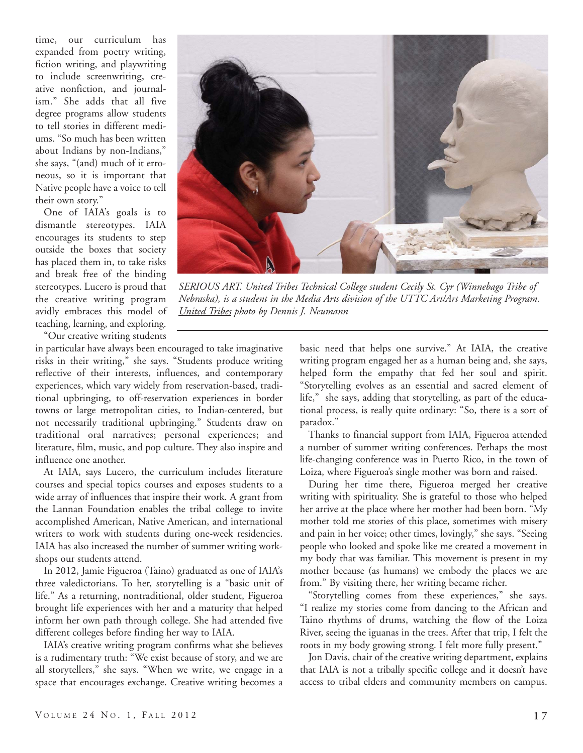time, our curriculum has expanded from poetry writing, fiction writing, and playwriting to include screenwriting, creative nonfiction, and journalism." She adds that all five degree programs allow students to tell stories in different mediums. "So much has been written about Indians by non-Indians," she says, "(and) much of it erroneous, so it is important that Native people have a voice to tell their own story."

One of IAIA's goals is to dismantle stereotypes. IAIA encourages its students to step outside the boxes that society has placed them in, to take risks and break free of the binding stereotypes. Lucero is proud that the creative writing program avidly embraces this model of teaching, learning, and exploring.

"Our creative writing students

in particular have always been encouraged to take imaginative risks in their writing," she says. "Students produce writing reflective of their interests, influences, and contemporary experiences, which vary widely from reservation-based, traditional upbringing, to off-reservation experiences in border towns or large metropolitan cities, to Indian-centered, but not necessarily traditional upbringing." Students draw on traditional oral narratives; personal experiences; and literature, film, music, and pop culture. They also inspire and influence one another.

At IAIA, says Lucero, the curriculum includes literature courses and special topics courses and exposes students to a wide array of influences that inspire their work. A grant from the Lannan Foundation enables the tribal college to invite accomplished American, Native American, and international writers to work with students during one-week residencies. IAIA has also increased the number of summer writing workshops our students attend.

In 2012, Jamie Figueroa (Taino) graduated as one of IAIA's three valedictorians. To her, storytelling is a "basic unit of life." As a returning, nontraditional, older student, Figueroa brought life experiences with her and a maturity that helped inform her own path through college. She had attended five different colleges before finding her way to IAIA.

IAIA's creative writing program confirms what she believes is a rudimentary truth: "We exist because of story, and we are all storytellers," she says. "When we write, we engage in a space that encourages exchange. Creative writing becomes a basic need that helps one survive." At IAIA, the creative writing program engaged her as a human being and, she says, helped form the empathy that fed her soul and spirit. "Storytelling evolves as an essential and sacred element of life," she says, adding that storytelling, as part of the educational process, is really quite ordinary: "So, there is a sort of paradox."

Thanks to financial support from IAIA, Figueroa attended a number of summer writing conferences. Perhaps the most life-changing conference was in Puerto Rico, in the town of Loiza, where Figueroa's single mother was born and raised.

During her time there, Figueroa merged her creative writing with spirituality. She is grateful to those who helped her arrive at the place where her mother had been born. "My mother told me stories of this place, sometimes with misery and pain in her voice; other times, lovingly," she says. "Seeing people who looked and spoke like me created a movement in my body that was familiar. This movement is present in my mother because (as humans) we embody the places we are from." By visiting there, her writing became richer.

"Storytelling comes from these experiences," she says. "I realize my stories come from dancing to the African and Taino rhythms of drums, watching the flow of the Loiza River, seeing the iguanas in the trees. After that trip, I felt the roots in my body growing strong. I felt more fully present."

Jon Davis, chair of the creative writing department, explains that IAIA is not a tribally specific college and it doesn't have access to tribal elders and community members on campus.



*SERIOUS ART. United Tribes Technical College student Cecily St. Cyr (Winnebago Tribe of Nebraska), is a student in the Media Arts division of the UTTC Art/Art Marketing Program. United Tribes photo by Dennis J. Neumann*